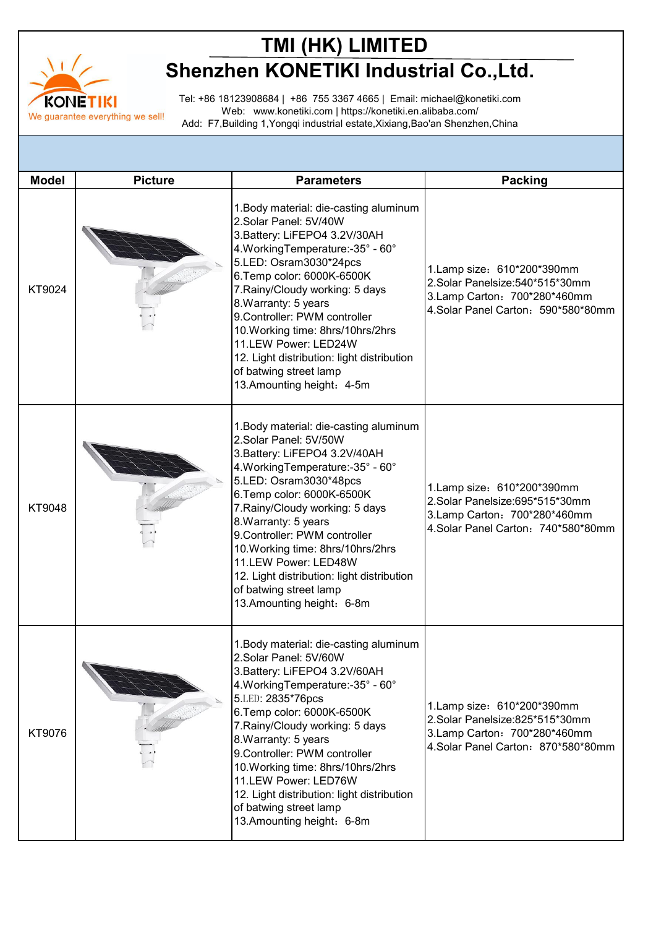

## **TMI (HK) LIMITED Shenzhen KONETIKI Industrial Co.,Ltd.**

Tel: +86 18123908684 | +86 755 3367 4665 | Email: michael@konetiki.com Web: www.konetiki.com | https://konetiki.en.alibaba.com/ Add: F7,Building 1,Yongqi industrial estate,Xixiang,Bao'an Shenzhen,China

| <b>Model</b> | <b>Picture</b> | <b>Parameters</b>                                                                                                                                                                                                                                                                                                                                                                                                                                              | <b>Packing</b>                                                                                                                       |
|--------------|----------------|----------------------------------------------------------------------------------------------------------------------------------------------------------------------------------------------------------------------------------------------------------------------------------------------------------------------------------------------------------------------------------------------------------------------------------------------------------------|--------------------------------------------------------------------------------------------------------------------------------------|
| KT9024       |                | 1. Body material: die-casting aluminum<br>2.Solar Panel: 5V/40W<br>3. Battery: LiFEPO4 3.2V/30AH<br>4. Working Temperature: - 35° - 60°<br>5.LED: Osram3030*24pcs<br>6. Temp color: 6000K-6500K<br>7. Rainy/Cloudy working: 5 days<br>8. Warranty: 5 years<br>9. Controller: PWM controller<br>10. Working time: 8hrs/10hrs/2hrs<br>11.LEW Power: LED24W<br>12. Light distribution: light distribution<br>of batwing street lamp<br>13. Amounting height: 4-5m | 1. Lamp size: 610*200*390mm<br>2.Solar Panelsize: 540*515*30mm<br>3.Lamp Carton: 700*280*460mm<br>4.Solar Panel Carton: 590*580*80mm |
| KT9048       |                | 1. Body material: die-casting aluminum<br>2.Solar Panel: 5V/50W<br>3. Battery: LiFEPO4 3.2V/40AH<br>4. Working Temperature: - 35° - 60°<br>5.LED: Osram3030*48pcs<br>6. Temp color: 6000K-6500K<br>7. Rainy/Cloudy working: 5 days<br>8. Warranty: 5 years<br>9. Controller: PWM controller<br>10. Working time: 8hrs/10hrs/2hrs<br>11.LEW Power: LED48W<br>12. Light distribution: light distribution<br>of batwing street lamp<br>13. Amounting height: 6-8m | 1.Lamp size: 610*200*390mm<br>2.Solar Panelsize:695*515*30mm<br>3. Lamp Carton: 700*280*460mm<br>4.Solar Panel Carton: 740*580*80mm  |
| KT9076       |                | 1. Body material: die-casting aluminum<br>2.Solar Panel: 5V/60W<br>3. Battery: LiFEPO4 3.2V/60AH<br>4. Working Temperature: - 35° - 60°<br>5.LED: 2835*76pcs<br>6. Temp color: 6000K-6500K<br>7. Rainy/Cloudy working: 5 days<br>8. Warranty: 5 years<br>9. Controller: PWM controller<br>10. Working time: 8hrs/10hrs/2hrs<br>11.LEW Power: LED76W<br>12. Light distribution: light distribution<br>of batwing street lamp<br>13. Amounting height: 6-8m      | 1. Lamp size: 610*200*390mm<br>2.Solar Panelsize:825*515*30mm<br>3.Lamp Carton: 700*280*460mm<br>4.Solar Panel Carton: 870*580*80mm  |